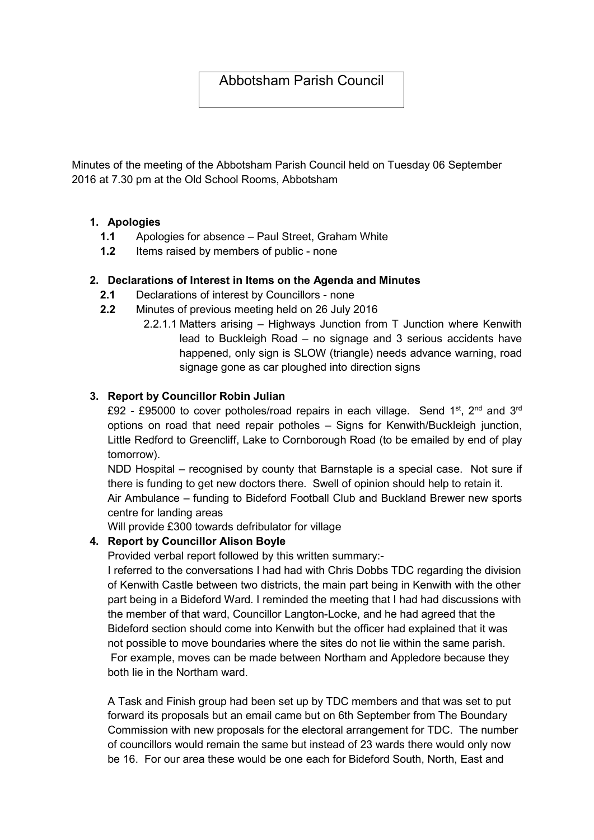Minutes of the meeting of the Abbotsham Parish Council held on Tuesday 06 September 2016 at 7.30 pm at the Old School Rooms, Abbotsham

### 1. Apologies

- 1.1 Apologies for absence Paul Street, Graham White
- 1.2 Items raised by members of public none

### 2. Declarations of Interest in Items on the Agenda and Minutes

- 2.1 Declarations of interest by Councillors none
- 2.2 Minutes of previous meeting held on 26 July 2016
	- 2.2.1.1 Matters arising Highways Junction from T Junction where Kenwith lead to Buckleigh Road – no signage and 3 serious accidents have happened, only sign is SLOW (triangle) needs advance warning, road signage gone as car ploughed into direction signs

### 3. Report by Councillor Robin Julian

£92 - £95000 to cover potholes/road repairs in each village. Send 1<sup>st</sup>, 2<sup>nd</sup> and 3<sup>rd</sup> options on road that need repair potholes – Signs for Kenwith/Buckleigh junction, Little Redford to Greencliff, Lake to Cornborough Road (to be emailed by end of play tomorrow).

NDD Hospital – recognised by county that Barnstaple is a special case. Not sure if there is funding to get new doctors there. Swell of opinion should help to retain it.

Air Ambulance – funding to Bideford Football Club and Buckland Brewer new sports centre for landing areas

Will provide £300 towards defribulator for village

## 4. Report by Councillor Alison Boyle

Provided verbal report followed by this written summary:-

I referred to the conversations I had had with Chris Dobbs TDC regarding the division of Kenwith Castle between two districts, the main part being in Kenwith with the other part being in a Bideford Ward. I reminded the meeting that I had had discussions with the member of that ward, Councillor Langton-Locke, and he had agreed that the Bideford section should come into Kenwith but the officer had explained that it was not possible to move boundaries where the sites do not lie within the same parish. For example, moves can be made between Northam and Appledore because they both lie in the Northam ward.

A Task and Finish group had been set up by TDC members and that was set to put forward its proposals but an email came but on 6th September from The Boundary Commission with new proposals for the electoral arrangement for TDC. The number of councillors would remain the same but instead of 23 wards there would only now be 16. For our area these would be one each for Bideford South, North, East and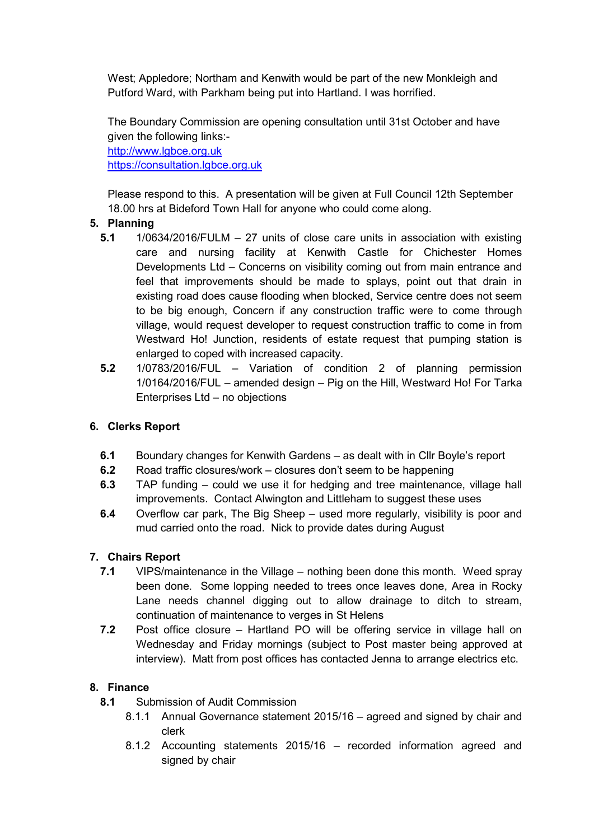West; Appledore; Northam and Kenwith would be part of the new Monkleigh and Putford Ward, with Parkham being put into Hartland. I was horrified.

The Boundary Commission are opening consultation until 31st October and have given the following links: http://www.lgbce.org.uk

https://consultation.lgbce.org.uk

Please respond to this. A presentation will be given at Full Council 12th September 18.00 hrs at Bideford Town Hall for anyone who could come along.

# 5. Planning

- 5.1  $1/0634/2016/FULM 27$  units of close care units in association with existing care and nursing facility at Kenwith Castle for Chichester Homes Developments Ltd – Concerns on visibility coming out from main entrance and feel that improvements should be made to splays, point out that drain in existing road does cause flooding when blocked, Service centre does not seem to be big enough, Concern if any construction traffic were to come through village, would request developer to request construction traffic to come in from Westward Ho! Junction, residents of estate request that pumping station is enlarged to coped with increased capacity.
- 5.2 1/0783/2016/FUL Variation of condition 2 of planning permission 1/0164/2016/FUL – amended design – Pig on the Hill, Westward Ho! For Tarka Enterprises Ltd – no objections

## 6. Clerks Report

- 6.1 Boundary changes for Kenwith Gardens as dealt with in Cllr Boyle's report
- 6.2 Road traffic closures/work closures don't seem to be happening
- 6.3 TAP funding could we use it for hedging and tree maintenance, village hall improvements. Contact Alwington and Littleham to suggest these uses
- 6.4 Overflow car park, The Big Sheep used more regularly, visibility is poor and mud carried onto the road. Nick to provide dates during August

# 7. Chairs Report

- 7.1 VIPS/maintenance in the Village nothing been done this month. Weed spray been done. Some lopping needed to trees once leaves done, Area in Rocky Lane needs channel digging out to allow drainage to ditch to stream, continuation of maintenance to verges in St Helens
- 7.2 Post office closure Hartland PO will be offering service in village hall on Wednesday and Friday mornings (subject to Post master being approved at interview). Matt from post offices has contacted Jenna to arrange electrics etc.

# 8. Finance

- 8.1 Submission of Audit Commission
	- 8.1.1 Annual Governance statement 2015/16 agreed and signed by chair and clerk
	- 8.1.2 Accounting statements 2015/16 recorded information agreed and signed by chair